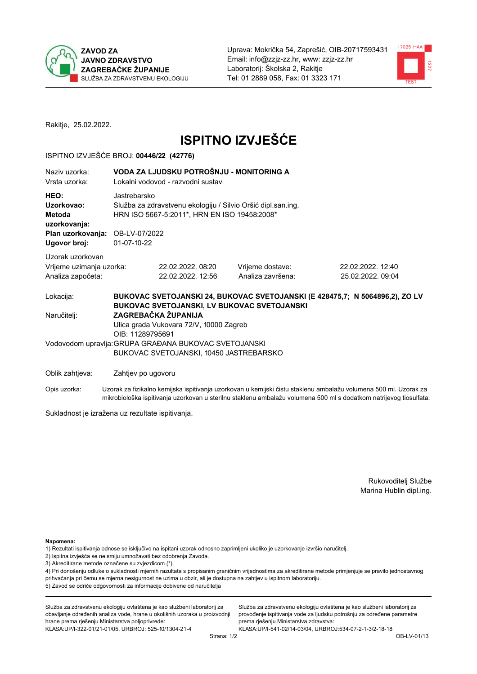

Uprava: Mokrička 54, Zaprešić, OIB-20717593431 Email: info@zzjz-zz.hr, www: zzjz-zz.hr Laboratorij: Školska 2, Rakitje Tel: 01 2889 058. Fax: 01 3323 171



Rakitje, 25.02.2022.

# **ISPITNO IZVJEŠĆE**

### ISPITNO IZVJEŠĆE BROJ: 00446/22 (42776)

| Naziv uzorka:<br>Vrsta uzorka:                                                    | VODA ZA LJUDSKU POTROŠNJU - MONITORING A<br>Lokalni vodovod - razvodni sustav                                                                                  |                                                                                                  |                                       |                                      |  |  |  |
|-----------------------------------------------------------------------------------|----------------------------------------------------------------------------------------------------------------------------------------------------------------|--------------------------------------------------------------------------------------------------|---------------------------------------|--------------------------------------|--|--|--|
| HEO:<br>Uzorkovao:<br>Metoda<br>uzorkovanja:<br>Plan uzorkovanja:<br>Ugovor broj: | Jastrebarsko<br>Služba za zdravstvenu ekologiju / Silvio Oršić dipl.san.ing.<br>HRN ISO 5667-5:2011*, HRN EN ISO 19458:2008*<br>OB-LV-07/2022<br>$01-07-10-22$ |                                                                                                  |                                       |                                      |  |  |  |
| Uzorak uzorkovan<br>Vrijeme uzimanja uzorka:<br>Analiza započeta:                 |                                                                                                                                                                | 22.02.2022.08:20<br>22.02.2022. 12:56                                                            | Vrijeme dostave:<br>Analiza završena: | 22.02.2022.12:40<br>25.02.2022.09:04 |  |  |  |
| Lokacija:                                                                         | BUKOVAC SVETOJANSKI 24, BUKOVAC SVETOJANSKI (E 428475,7; N 5064896,2), ZO LV<br>BUKOVAC SVETOJANSKI, LV BUKOVAC SVETOJANSKI                                    |                                                                                                  |                                       |                                      |  |  |  |
| Naručitelj:                                                                       | ZAGREBAČKA ŽUPANIJA<br>Ulica grada Vukovara 72/V, 10000 Zagreb<br>OIB: 11289795691                                                                             |                                                                                                  |                                       |                                      |  |  |  |
|                                                                                   |                                                                                                                                                                | Vodovodom upravlja: GRUPA GRAĐANA BUKOVAC SVETOJANSKI<br>BUKOVAC SVETOJANSKI, 10450 JASTREBARSKO |                                       |                                      |  |  |  |
| Oblik zahtjeva:                                                                   | Zahtjev po ugovoru                                                                                                                                             |                                                                                                  |                                       |                                      |  |  |  |

Uzorak za fizikalno kemijska ispitivanja uzorkovan u kemijski čistu staklenu ambalažu volumena 500 ml. Uzorak za Opis uzorka: mikrobiološka ispitivanja uzorkovan u sterilnu staklenu ambalažu volumena 500 ml s dodatkom natrijevog tiosulfata.

Sukladnost je izražena uz rezultate ispitivanja.

Rukovoditelj Službe Marina Hublin dipl.ing.

#### Napomena:

- 1) Rezultati ispitivanja odnose se isključivo na ispitani uzorak odnosno zaprimljeni ukoliko je uzorkovanje izvršio naručitelj.
- 2) Ispitna izvješća se ne smiju umnožavati bez odobrenja Zavoda.
- 3) Akreditirane metode označene su zvjezdicom (\*).

4) Pri donošenju odluke o sukladnosti mjernih razultata s propisanim graničnim vrijednostima za akreditirane metode primjenjuje se pravilo jednostavnog prihvaćanja pri čemu se mjerna nesigurnost ne uzima u obzir, ali je dostupna na zahtjev u ispitnom laboratoriju. 5) Zavod se odriče odgovornosti za informacije dobivene od naručitelja

Služba za zdravstvenu ekologiju ovlaštena je kao službeni laboratorij za obavljanje određenih analiza vode, hrane u okolišnih uzoraka u proizvodnji hrane prema rješenju Ministarstva poljoprivrede: KLASA: UP/I-322-01/21-01/05, URBROJ: 525-10/1304-21-4

Služba za zdravstvenu ekologiju ovlaštena je kao službeni laboratorij za provođenje ispitivanja vode za ljudsku potrošnju za određene parametre prema rješenju Ministarstva zdravstva: KLASA: UP/I-541-02/14-03/04, URBROJ: 534-07-2-1-3/2-18-18